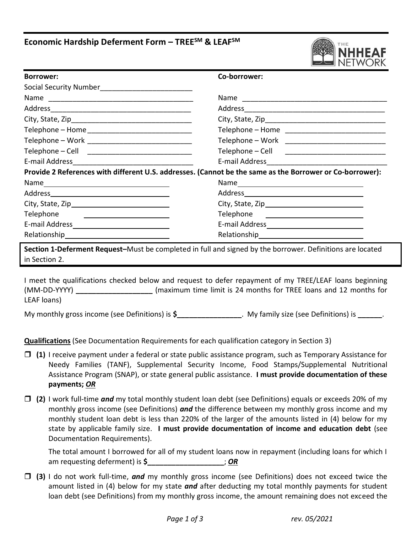# **Economic Hardship Deferment Form – TREESM & LEAFSM**



| <b>Borrower:</b>                                                                                                                   | Co-borrower:                                       |  |
|------------------------------------------------------------------------------------------------------------------------------------|----------------------------------------------------|--|
|                                                                                                                                    |                                                    |  |
|                                                                                                                                    | Name                                               |  |
|                                                                                                                                    |                                                    |  |
|                                                                                                                                    |                                                    |  |
|                                                                                                                                    | Telephone – Home ________________________________  |  |
|                                                                                                                                    | Telephone – Work _____________________________     |  |
|                                                                                                                                    | Telephone – Cell _________________________________ |  |
|                                                                                                                                    |                                                    |  |
| Provide 2 References with different U.S. addresses. (Cannot be the same as the Borrower or Co-borrower):                           |                                                    |  |
|                                                                                                                                    |                                                    |  |
|                                                                                                                                    |                                                    |  |
|                                                                                                                                    |                                                    |  |
| Telephone<br><u> 1989 - Johann Harry Harry Harry Harry Harry Harry Harry Harry Harry Harry Harry Harry Harry Harry Harry Harry</u> | Telephone ___________________________              |  |
|                                                                                                                                    |                                                    |  |
|                                                                                                                                    |                                                    |  |

 **Section 1-Deferment Request–**Must be completed in full and signed by the borrower. Definitions are located in Section 2.

 I meet the qualifications checked below and request to defer repayment of my TREE/LEAF loans beginning (MM-DD-YYYY) **\_\_\_\_\_\_\_\_\_\_\_\_\_\_\_\_\_\_\_** (maximum time limit is 24 months for TREE loans and 12 months for LEAF loans)

My monthly gross income (see Definitions) is **\$\_\_\_\_\_\_\_\_\_\_\_\_\_\_\_\_**. My family size (see Definitions) is **\_\_\_\_\_\_**.

**Qualifications** (See Documentation Requirements for each qualification category in Section 3)

- Needy Families (TANF), Supplemental Security Income, Food Stamps/Supplemental Nutritional Assistance Program (SNAP), or state general public assistance. **I must provide documentation of these (1)** I receive payment under a federal or state public assistance program, such as Temporary Assistance for **payments;** *OR*
- **(2)** I work full-time *and* my total monthly student loan debt (see Definitions) equals or exceeds 20% of my monthly gross income (see Definitions) *and* the difference between my monthly gross income and my monthly student loan debt is less than 220% of the larger of the amounts listed in (4) below for my state by applicable family size. **I must provide documentation of income and education debt** (see Documentation Requirements).

 The total amount I borrowed for all of my student loans now in repayment (including loans for which I am requesting deferment) is **\$\_\_\_\_\_\_\_\_\_\_\_\_\_\_\_\_\_\_\_**; *OR* 

 **(3)** I do not work full-time, *and* my monthly gross income (see Definitions) does not exceed twice the amount listed in (4) below for my state *and* after deducting my total monthly payments for student loan debt (see Definitions) from my monthly gross income, the amount remaining does not exceed the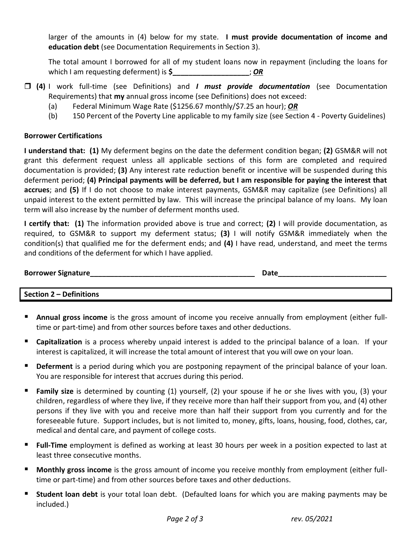larger of the amounts in (4) below for my state. **I must provide documentation of income and education debt** (see Documentation Requirements in Section 3).

 The total amount I borrowed for all of my student loans now in repayment (including the loans for which I am requesting deferment) is **\$**  $\cdot$  **DR** 

- **(4)** I work full-time (see Definitions) and *I must provide documentation* (see Documentation Requirements) that **my** annual gross income (see Definitions) does not exceed:
	- (a) Federal Minimum Wage Rate (\$1256.67 monthly/\$7.25 an hour); *OR*
	- (b) 150 Percent of the Poverty Line applicable to my family size (see Section 4 Poverty Guidelines)

# **Borrower Certifications**

 **I understand that: (1)** My deferment begins on the date the deferment condition began; **(2)** GSM&R will not grant this deferment request unless all applicable sections of this form are completed and required documentation is provided; **(3)** Any interest rate reduction benefit or incentive will be suspended during this  deferment period; **(4) Principal payments will be deferred, but I am responsible for paying the interest that accrues**; and **(5)** If I do not choose to make interest payments, GSM&R may capitalize (see Definitions) all unpaid interest to the extent permitted by law. This will increase the principal balance of my loans. My loan term will also increase by the number of deferment months used.

 **I certify that: (1)** The information provided above is true and correct; **(2)** I will provide documentation, as required, to GSM&R to support my deferment status; **(3)** I will notify GSM&R immediately when the condition(s) that qualified me for the deferment ends; and **(4)** I have read, understand, and meet the terms and conditions of the deferment for which I have applied.

| <b>Borrower Signature</b> | つate |
|---------------------------|------|
|                           |      |

 **Section 2 – Definitions** 

- **Annual gross income** is the gross amount of income you receive annually from employment (either full-time or part-time) and from other sources before taxes and other deductions.
- **Capitalization** is a process whereby unpaid interest is added to the principal balance of a loan. If your interest is capitalized, it will increase the total amount of interest that you will owe on your loan.
- **Deferment** is a period during which you are postponing repayment of the principal balance of your loan. You are responsible for interest that accrues during this period.
- **Family size** is determined by counting (1) yourself, (2) your spouse if he or she lives with you, (3) your children, regardless of where they live, if they receive more than half their support from you, and (4) other persons if they live with you and receive more than half their support from you currently and for the foreseeable future. Support includes, but is not limited to, money, gifts, loans, housing, food, clothes, car, medical and dental care, and payment of college costs.
- **Full-Time** employment is defined as working at least 30 hours per week in a position expected to last at least three consecutive months.
- **Monthly gross income** is the gross amount of income you receive monthly from employment (either full-time or part-time) and from other sources before taxes and other deductions.
- **Student loan debt** is your total loan debt. (Defaulted loans for which you are making payments may be included.)